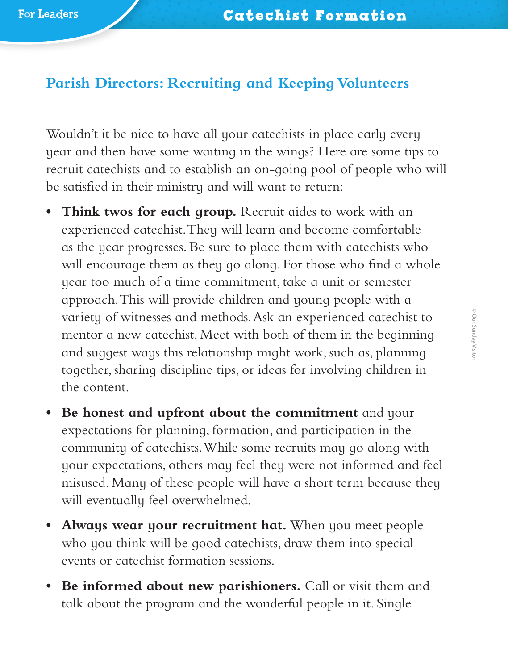## **Parish Directors: Recruiting and Keeping Volunteers**

Wouldn't it be nice to have all your cate chists in place early every year and then have some waiting in the wings? Here are some tips to recruit catechists and to establish an on-going pool of people who will be satisfied in their ministry and will want to return:

- **• Think twos for each group.** Recruit aides to work with an experienced catechist. They will learn and become comfortable as the year progresses. Be sure to place them with catechists who will encourage them as they go along. For those who find a whole year too much of a time commitment, take a unit or semester approach. This will provide children and young people with a variety of witnesses and methods. Ask an experienced catechist to mentor a new catechist. Meet with both of them in the beginning and suggest ways this relationship might work, such as, planning together, sharing discipline tips, or ideas for involving children in the content.
- **• Be honest and upfront about the commitment** and your expectations for planning, formation, and participation in the community of catechists. While some recruits may go along with your expectations, others may feel they were not informed and feel misused. Many of these people will have a short term because they will eventually feel overwhelmed.
- **• Always wear your recruitment hat.** When you meet people who you think will be good catechists, draw them into special events or catechist formation sessions.
- **• Be informed about new parishioners.** Call or visit them and talk about the program and the wonderful people in it. Single